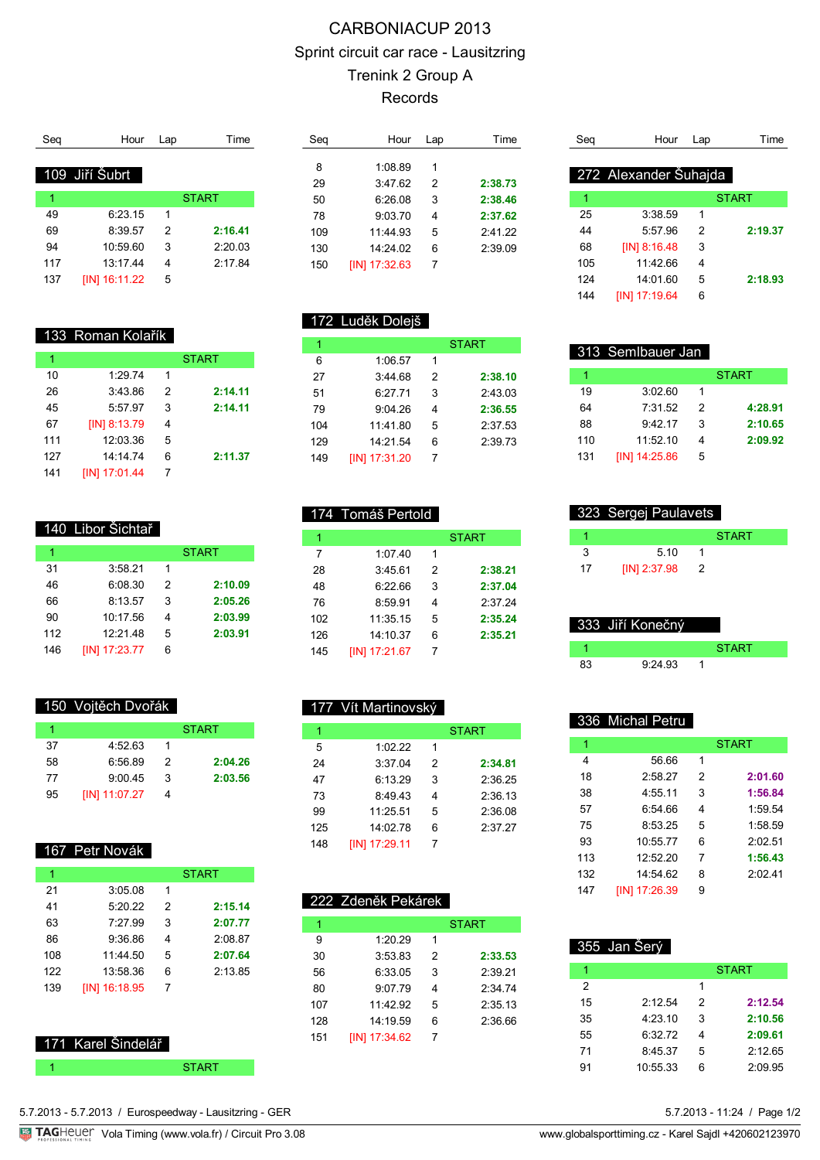## CARBONIACUP 2013 Sprint circuit car race - Lausitzring Trenink 2 Group A Records

| Sea | Hour           | Lap | Time         |
|-----|----------------|-----|--------------|
|     |                |     |              |
|     | 109 Jiří Šubrt |     |              |
| 1   |                |     | <b>START</b> |
| 49  | 6:23.15        | 1   |              |
| 69  | 8:39.57        | 2   | 2:16.41      |
| 94  | 10:59.60       | 3   | 2:20.03      |
| 117 | 13:17.44       | 4   | 2:17.84      |
| 137 | [IN] 16:11.22  | 5   |              |
|     |                |     |              |

| Seg | Hour          | Lap | Time    |
|-----|---------------|-----|---------|
|     |               |     |         |
| 8   | 1:08.89       | 1   |         |
| 29  | 3:47.62       | 2   | 2:38.73 |
| 50  | 6:26.08       | 3   | 2:38.46 |
| 78  | 9:03.70       | 4   | 2:37.62 |
| 109 | 11:44.93      | 5   | 2:41.22 |
| 130 | 14.2402       | 6   | 2:39.09 |
| 150 | [IN] 17:32.63 | 7   |         |
|     |               |     |         |

| Sea | Hour                  | Lap | Time         |
|-----|-----------------------|-----|--------------|
|     |                       |     |              |
|     | 272 Alexander Šuhajda |     |              |
| 1   |                       |     | <b>START</b> |
| 25  | 3:38.59               | 1   |              |
| 44  | 5:57.96               | 2   | 2:19.37      |
| 68  | $[IN]$ 8:16.48        | 3   |              |
| 105 | 11:42.66              | 4   |              |
| 124 | 14:01.60              | 5   | 2:18.93      |
| 144 | [IN] 17:19.64         | 6   |              |

#### 172 Luděk Dolejš

174 Tomáš Pertold

1:07.40 1

| 1   |               |   | <b>START</b> |
|-----|---------------|---|--------------|
| 6   | 1:06.57       | 1 |              |
| 27  | 3.4468        | 2 | 2:38.10      |
| 51  | 6:27.71       | 3 | 2:43.03      |
| 79  | 9:04.26       | 4 | 2:36.55      |
| 104 | 11.41.80      | 5 | 2:37.53      |
| 129 | 14.21.54      | 6 | 2:39.73      |
| 149 | [IN] 17:31.20 | 7 |              |

1 START START

 3:45.61 2 **2:38.21** 6:22.66 3 **2:37.04** 8:59.91 4 2:37.24 11:35.15 5 **2:35.24** 14:10.37 6 **2:35.21**

|     | 313 SemIbauer Jan |   |              |
|-----|-------------------|---|--------------|
| 1   |                   |   | <b>START</b> |
| 19  | 3:02.60           | 1 |              |
| 64  | 7:31.52           | 2 | 4:28.91      |
| 88  | 9.4217            | 3 | 2:10.65      |
| 110 | 11:52:10          | 4 | 2:09.92      |
| 131 | [IN] 14:25.86     | 5 |              |

| 323 Sergej Paulavets |                |   |              |
|----------------------|----------------|---|--------------|
|                      |                |   | <b>START</b> |
|                      | 5.10           |   |              |
| 17                   | $[IN]$ 2:37.98 | 2 |              |

|    | 333 Jiří Konečný |              |
|----|------------------|--------------|
|    |                  | <b>START</b> |
| 83 | 9.24.93          |              |

|     | 336 Michal Petru |               |              |
|-----|------------------|---------------|--------------|
| 1   |                  |               | <b>START</b> |
| 4   | 56.66            | 1             |              |
| 18  | 2.5827           | $\mathcal{P}$ | 2:01.60      |
| 38  | 4:55.11          | 3             | 1:56.84      |
| 57  | 6:54.66          | 4             | 1:59.54      |
| 75  | 8:53.25          | 5             | 1:58.59      |
| 93  | 10:55.77         | 6             | 2.0251       |
| 113 | 12:52.20         | 7             | 1:56.43      |
| 132 | 14:54.62         | 8             | 2:02.41      |
| 147 | [IN] 17:26.39    | 9             |              |

| 355 Jan Serý |          |   |              |  |  |
|--------------|----------|---|--------------|--|--|
|              |          |   | <b>START</b> |  |  |
| 2            |          | 1 |              |  |  |
| 15           | 2:12.54  | 2 | 2:12.54      |  |  |
| 35           | 4:23.10  | 3 | 2:10.56      |  |  |
| 55           | 6:32.72  | 4 | 2:09.61      |  |  |
| 71           | 8:45.37  | 5 | 2:12.65      |  |  |
| 91           | 10:55.33 | 6 | 2:09.95      |  |  |

133 Roman Kolařík

|     |               |   | <b>START</b> |
|-----|---------------|---|--------------|
| 10  | 1:29.74       | 1 |              |
| 26  | 3:43.86       | 2 | 2:14.11      |
| 45  | 5:57.97       | 3 | 2:14.11      |
| 67  | [IN] 8:13.79  | 4 |              |
| 111 | 12:03.36      | 5 |              |
| 127 | 14:14.74      | 6 | 2:11.37      |
| 141 | [IN] 17:01.44 |   |              |

### 140 Libor Šichtař

|     |               |   | <b>START</b> |
|-----|---------------|---|--------------|
| 31  | 3:58.21       | 1 |              |
| 46  | 6:08.30       | 2 | 2:10.09      |
| 66  | 8:13.57       | 3 | 2:05.26      |
| 90  | 10:17.56      | 4 | 2:03.99      |
| 112 | 12:21.48      | 5 | 2:03.91      |
| 146 | [IN] 17:23.77 | 6 |              |

#### 150 Vojtěch Dvořák

|    |               |   | <b>START</b> |
|----|---------------|---|--------------|
| 37 | 4:52.63       |   |              |
| 58 | 6:56.89       | 2 | 2:04.26      |
| 77 | 9:00.45       | 3 | 2:03.56      |
| 95 | [IN] 11:07.27 | 4 |              |

#### 167 Petr Novák

| 1   |               |   | START   |  |
|-----|---------------|---|---------|--|
| 21  | 3:05.08       | 1 |         |  |
| 41  | 5:20.22       | 2 | 2:15.14 |  |
| 63  | 7.2799        | 3 | 2:07.77 |  |
| 86  | 9:36.86       | 4 | 2:08.87 |  |
| 108 | 11:44.50      | 5 | 2:07.64 |  |
| 122 | 13:58.36      | 6 | 2:13.85 |  |
| 139 | [IN] 16:18.95 | 7 |         |  |
|     |               |   |         |  |

#### 171 Karel Šindelář

| 177 Vít Martinovský |              |
|---------------------|--------------|
|                     | <b>START</b> |
| 1.02.22             |              |

[IN] 17:21.67 7

| 24  | 3:37.04       | 2  | 2:34.81 |
|-----|---------------|----|---------|
| 47  | 6:13.29       | 3  | 2:36.25 |
| 73  | 8:49.43       | 4  | 2:36.13 |
| 99  | 11:25.51      | 5  | 2:36.08 |
| 125 | 14:02 78      | ิค | 2:37.27 |
| 148 | [IN] 17:29.11 |    |         |

|     | 222 Zdeněk Pekárek |   |              |
|-----|--------------------|---|--------------|
| 1   |                    |   | <b>START</b> |
| 9   | 1:20.29            | 1 |              |
| 30  | 3:53.83            | 2 | 2:33.53      |
| 56  | 6:33.05            | 3 | 2.3921       |
| 80  | 9.0779             | 4 | 2.3474       |
| 107 | 11.4292            | 5 | 2:35.13      |
| 128 | 14.19.59           | 6 | 2.3666       |
| 151 | [IN] 17:34.62      | 7 |              |

5.7.2013 - 5.7.2013 / Eurospeedway - Lausitzring - GER

**START**